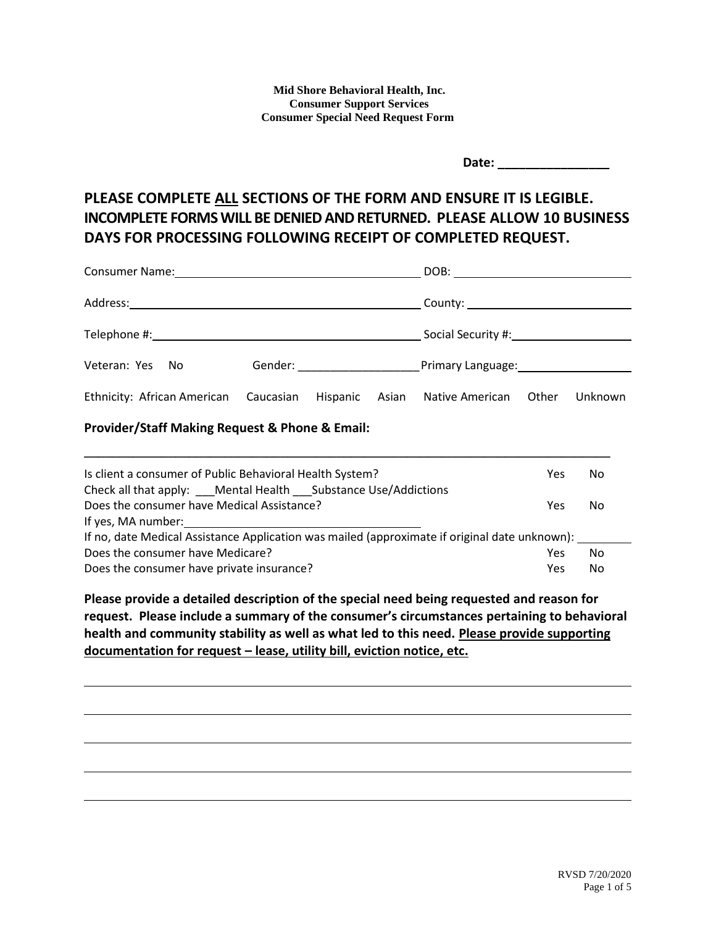**Mid Shore Behavioral Health, Inc. Consumer Support Services Consumer Special Need Request Form**

| Date: |  |
|-------|--|
|       |  |

# **PLEASE COMPLETE ALL SECTIONS OF THE FORM AND ENSURE IT IS LEGIBLE. INCOMPLETE FORMS WILL BE DENIED AND RETURNED. PLEASE ALLOW 10 BUSINESS DAYS FOR PROCESSING FOLLOWING RECEIPT OF COMPLETED REQUEST.**

| Veteran: Yes No                                                            |  |  |  |  |  |         |
|----------------------------------------------------------------------------|--|--|--|--|--|---------|
| Ethnicity: African American Caucasian Hispanic Asian Native American Other |  |  |  |  |  | Unknown |
| Provider/Staff Making Request & Phone & Email:                             |  |  |  |  |  |         |

| Is client a consumer of Public Behavioral Health System?<br>No<br><b>Yes</b>                  |  |  |  |  |
|-----------------------------------------------------------------------------------------------|--|--|--|--|
| Check all that apply: ____ Mental Health ____ Substance Use/Addictions                        |  |  |  |  |
| Does the consumer have Medical Assistance?<br>No<br>Yes                                       |  |  |  |  |
| If yes, MA number:                                                                            |  |  |  |  |
| If no, date Medical Assistance Application was mailed (approximate if original date unknown): |  |  |  |  |
| Does the consumer have Medicare?<br>No<br>Yes                                                 |  |  |  |  |
| Does the consumer have private insurance?<br>No<br>Yes                                        |  |  |  |  |

**\_\_\_\_\_\_\_\_\_\_\_\_\_\_\_\_\_\_\_\_\_\_\_\_\_\_\_\_\_\_\_\_\_\_\_\_\_\_\_\_\_\_\_\_\_\_\_\_\_\_\_\_\_\_\_\_\_\_\_\_\_\_\_\_\_\_\_\_\_\_\_\_\_\_\_**

**Please provide a detailed description of the special need being requested and reason for request. Please include a summary of the consumer's circumstances pertaining to behavioral health and community stability as well as what led to this need. Please provide supporting documentation for request – lease, utility bill, eviction notice, etc.**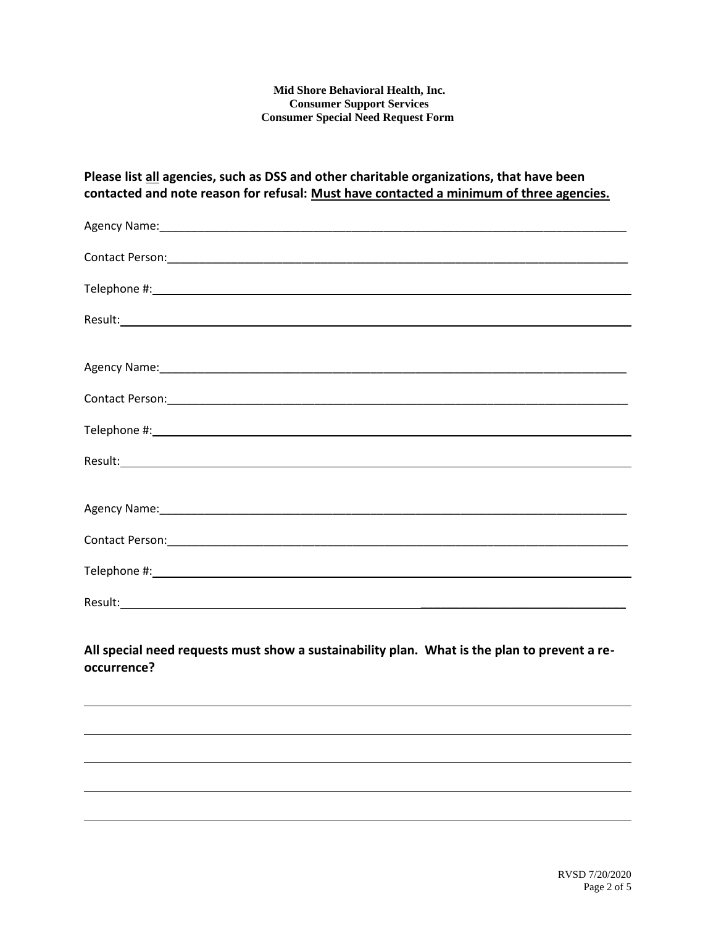#### **Mid Shore Behavioral Health, Inc. Consumer Support Services Consumer Special Need Request Form**

### **Please list all agencies, such as DSS and other charitable organizations, that have been contacted and note reason for refusal: Must have contacted a minimum of three agencies.**

| Agency Name: 1980 Manual Communication of the Communication of the Communication of the Communication of the Communication of the Communication of the Communication of the Communication of the Communication of the Communic |
|--------------------------------------------------------------------------------------------------------------------------------------------------------------------------------------------------------------------------------|
|                                                                                                                                                                                                                                |
|                                                                                                                                                                                                                                |
|                                                                                                                                                                                                                                |
|                                                                                                                                                                                                                                |
|                                                                                                                                                                                                                                |
|                                                                                                                                                                                                                                |
|                                                                                                                                                                                                                                |
|                                                                                                                                                                                                                                |
|                                                                                                                                                                                                                                |
|                                                                                                                                                                                                                                |
|                                                                                                                                                                                                                                |
|                                                                                                                                                                                                                                |

### **All special need requests must show a sustainability plan. What is the plan to prevent a reoccurrence?**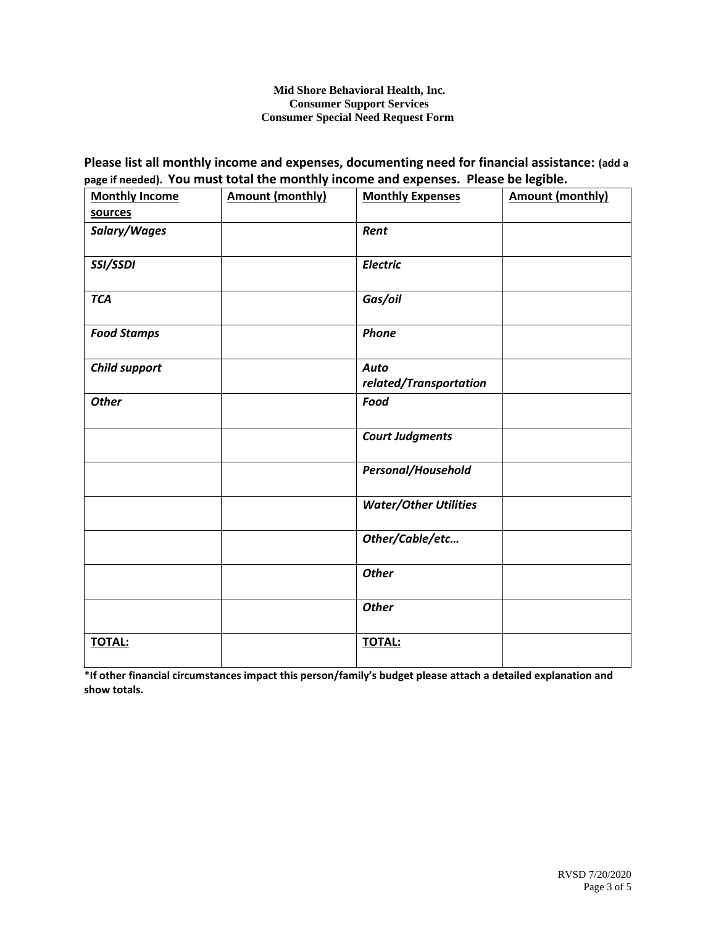#### **Mid Shore Behavioral Health, Inc. Consumer Support Services Consumer Special Need Request Form**

### **Please list all monthly income and expenses, documenting need for financial assistance: (add a page if needed). You must total the monthly income and expenses. Please be legible.**

| <b>Monthly Income</b> | <b>Amount (monthly)</b> | <b>Monthly Expenses</b>               | <b>Amount (monthly)</b> |
|-----------------------|-------------------------|---------------------------------------|-------------------------|
| sources               |                         |                                       |                         |
| Salary/Wages          |                         | Rent                                  |                         |
| SSI/SSDI              |                         | <b>Electric</b>                       |                         |
| <b>TCA</b>            |                         | Gas/oil                               |                         |
| <b>Food Stamps</b>    |                         | Phone                                 |                         |
| <b>Child support</b>  |                         | <b>Auto</b><br>related/Transportation |                         |
| <b>Other</b>          |                         | Food                                  |                         |
|                       |                         | <b>Court Judgments</b>                |                         |
|                       |                         | Personal/Household                    |                         |
|                       |                         | <b>Water/Other Utilities</b>          |                         |
|                       |                         | Other/Cable/etc                       |                         |
|                       |                         | <b>Other</b>                          |                         |
|                       |                         | <b>Other</b>                          |                         |
| <b>TOTAL:</b>         |                         | <b>TOTAL:</b>                         |                         |

\***If other financial circumstances impact this person/family's budget please attach a detailed explanation and show totals.**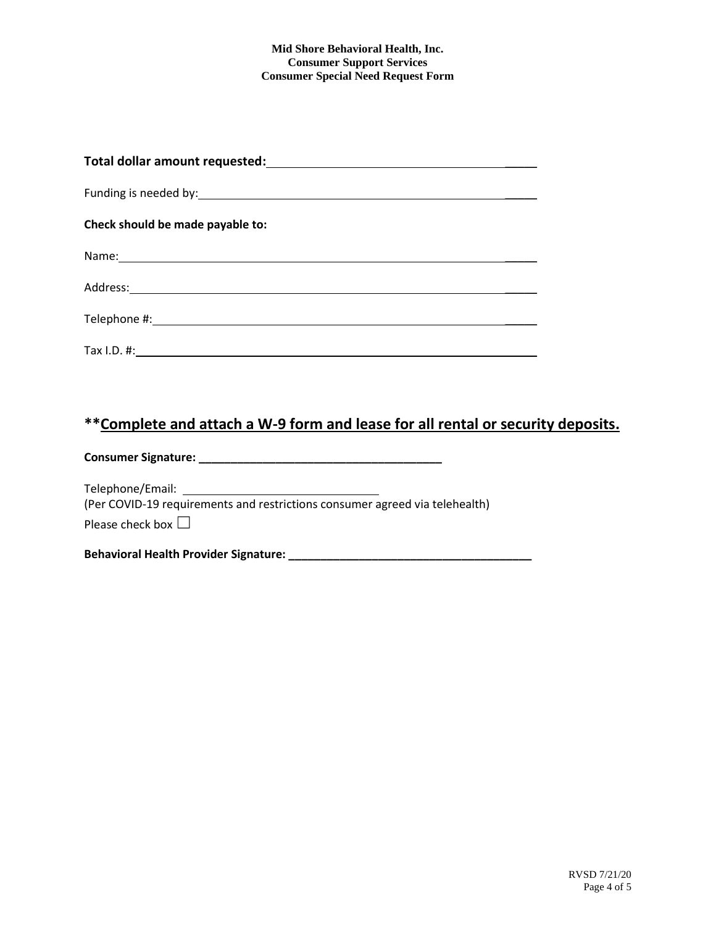#### **Mid Shore Behavioral Health, Inc. Consumer Support Services Consumer Special Need Request Form**

| Check should be made payable to: |
|----------------------------------|
|                                  |
|                                  |
|                                  |
|                                  |

## **\*\*Complete and attach a W-9 form and lease for all rental or security deposits.**

**Consumer Signature: \_\_\_\_\_\_\_\_\_\_\_\_\_\_\_\_\_\_\_\_\_\_\_\_\_\_\_\_\_\_\_\_\_\_\_\_\_\_**

Telephone/Email: (Per COVID-19 requirements and restrictions consumer agreed via telehealth) Please check box  $\square$ 

**Behavioral Health Provider Signature: \_\_\_\_\_\_\_\_\_\_\_\_\_\_\_\_\_\_\_\_\_\_\_\_\_\_\_\_\_\_\_\_\_\_\_\_\_\_**